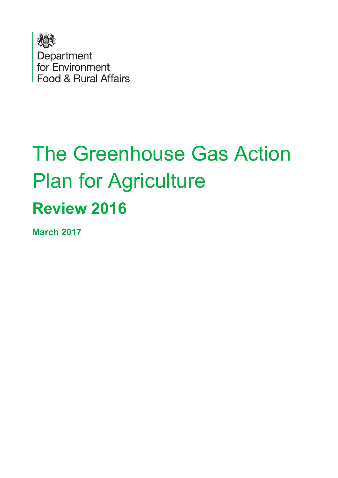

# The Greenhouse Gas Action Plan for Agriculture **Review 2016**

**March 2017**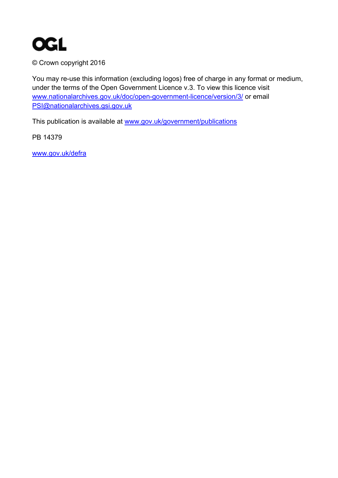

© Crown copyright 2016

You may re-use this information (excluding logos) free of charge in any format or medium, under the terms of the Open Government Licence v.3. To view this licence visit [www.nationalarchives.gov.uk/doc/open-government-licence/version/3/](http://www.nationalarchives.gov.uk/doc/open-government-licence/version/3/) or email [PSI@nationalarchives.gsi.gov.uk](mailto:PSI@nationalarchives.gsi.gov.uk)

This publication is available at [www.gov.uk/government/publications](http://www.gov.uk/government/publications)

PB 14379

[www.gov.uk/defra](http://www.gov.uk/defra)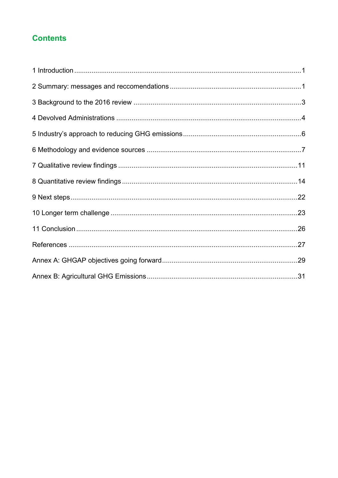### **Contents**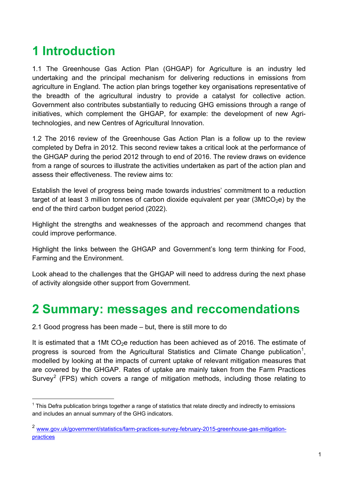# <span id="page-3-0"></span>**1 Introduction**

1.1 The Greenhouse Gas Action Plan (GHGAP) for Agriculture is an industry led undertaking and the principal mechanism for delivering reductions in emissions from agriculture in England. The action plan brings together key organisations representative of the breadth of the agricultural industry to provide a catalyst for collective action. Government also contributes substantially to reducing GHG emissions through a range of initiatives, which complement the GHGAP, for example: the development of new Agritechnologies, and new Centres of Agricultural Innovation.

1.2 The 2016 review of the Greenhouse Gas Action Plan is a follow up to the review completed by Defra in 2012. This second review takes a critical look at the performance of the GHGAP during the period 2012 through to end of 2016. The review draws on evidence from a range of sources to illustrate the activities undertaken as part of the action plan and assess their effectiveness. The review aims to:

Establish the level of progress being made towards industries' commitment to a reduction target of at least 3 million tonnes of carbon dioxide equivalent per year (3MtCO<sub>2</sub>e) by the end of the third carbon budget period (2022).

Highlight the strengths and weaknesses of the approach and recommend changes that could improve performance.

Highlight the links between the GHGAP and Government's long term thinking for Food, Farming and the Environment.

Look ahead to the challenges that the GHGAP will need to address during the next phase of activity alongside other support from Government.

# <span id="page-3-1"></span>**2 Summary: messages and reccomendations**

2.1 Good progress has been made – but, there is still more to do

It is estimated that a 1Mt  $CO<sub>2</sub>e$  reduction has been achieved as of 2016. The estimate of progress is sourced from the Agricultural Statistics and Climate Change publication<sup>[1](#page-3-2)</sup>, modelled by looking at the impacts of current uptake of relevant mitigation measures that are covered by the GHGAP. Rates of uptake are mainly taken from the Farm Practices Survey<sup>[2](#page-3-3)</sup> (FPS) which covers a range of mitigation methods, including those relating to

<span id="page-3-2"></span> $1$  This Defra publication brings together a range of statistics that relate directly and indirectly to emissions and includes an annual summary of the GHG indicators.

<span id="page-3-3"></span><sup>&</sup>lt;sup>2</sup> [www.gov.uk/government/statistics/farm-practices-survey-february-2015-greenhouse-gas-mitigation](http://www.gov.uk/government/statistics/farm-practices-survey-february-2015-greenhouse-gas-mitigation-practices)[practices](http://www.gov.uk/government/statistics/farm-practices-survey-february-2015-greenhouse-gas-mitigation-practices)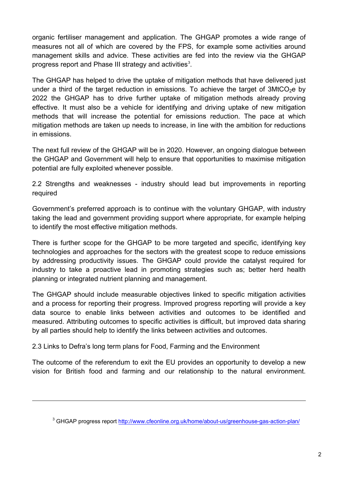organic fertiliser management and application. The GHGAP promotes a wide range of measures not all of which are covered by the FPS, for example some activities around management skills and advice. These activities are fed into the review via the GHGAP progress report and Phase III strategy and activities $^3$  $^3$ .

The GHGAP has helped to drive the uptake of mitigation methods that have delivered just under a third of the target reduction in emissions. To achieve the target of  $3$ MtCO<sub>2</sub>e by 2022 the GHGAP has to drive further uptake of mitigation methods already proving effective. It must also be a vehicle for identifying and driving uptake of new mitigation methods that will increase the potential for emissions reduction. The pace at which mitigation methods are taken up needs to increase, in line with the ambition for reductions in emissions.

The next full review of the GHGAP will be in 2020. However, an ongoing dialogue between the GHGAP and Government will help to ensure that opportunities to maximise mitigation potential are fully exploited whenever possible.

2.2 Strengths and weaknesses - industry should lead but improvements in reporting required

Government's preferred approach is to continue with the voluntary GHGAP, with industry taking the lead and government providing support where appropriate, for example helping to identify the most effective mitigation methods.

There is further scope for the GHGAP to be more targeted and specific, identifying key technologies and approaches for the sectors with the greatest scope to reduce emissions by addressing productivity issues. The GHGAP could provide the catalyst required for industry to take a proactive lead in promoting strategies such as; better herd health planning or integrated nutrient planning and management.

The GHGAP should include measurable objectives linked to specific mitigation activities and a process for reporting their progress. Improved progress reporting will provide a key data source to enable links between activities and outcomes to be identified and measured. Attributing outcomes to specific activities is difficult, but improved data sharing by all parties should help to identify the links between activities and outcomes.

2.3 Links to Defra's long term plans for Food, Farming and the Environment

<span id="page-4-0"></span> $\overline{a}$ 

The outcome of the referendum to exit the EU provides an opportunity to develop a new vision for British food and farming and our relationship to the natural environment.

<sup>&</sup>lt;sup>3</sup> GHGAP progress report<http://www.cfeonline.org.uk/home/about-us/greenhouse-gas-action-plan/>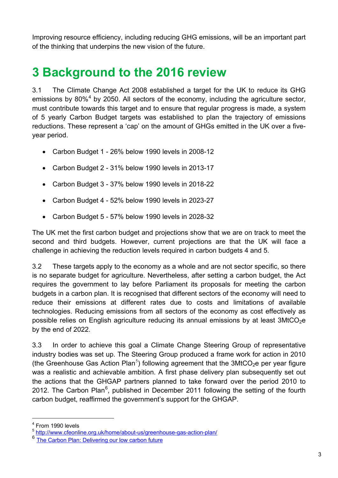Improving resource efficiency, including reducing GHG emissions, will be an important part of the thinking that underpins the new vision of the future.

# <span id="page-5-0"></span>**3 Background to the 2016 review**

3.1 The Climate Change Act 2008 established a target for the UK to reduce its GHG emissions by  $80\%$ <sup>[4](#page-5-1)</sup> by 2050. All sectors of the economy, including the agriculture sector, must contribute towards this target and to ensure that regular progress is made, a system of 5 yearly Carbon Budget targets was established to plan the trajectory of emissions reductions. These represent a 'cap' on the amount of GHGs emitted in the UK over a fiveyear period.

- Carbon Budget 1 26% below 1990 levels in 2008-12
- Carbon Budget 2 31% below 1990 levels in 2013-17
- Carbon Budget 3 37% below 1990 levels in 2018-22
- Carbon Budget 4 52% below 1990 levels in 2023-27
- Carbon Budget 5 57% below 1990 levels in 2028-32

The UK met the first carbon budget and projections show that we are on track to meet the second and third budgets. However, current projections are that the UK will face a challenge in achieving the reduction levels required in carbon budgets 4 and 5.

3.2 These targets apply to the economy as a whole and are not sector specific, so there is no separate budget for agriculture. Nevertheless, after setting a carbon budget, the Act requires the government to lay before Parliament its proposals for meeting the carbon budgets in a carbon plan. It is recognised that different sectors of the economy will need to reduce their emissions at different rates due to costs and limitations of available technologies. Reducing emissions from all sectors of the economy as cost effectively as possible relies on English agriculture reducing its annual emissions by at least  $3MtCO<sub>2</sub>e$ by the end of 2022.

3.3 In order to achieve this goal a Climate Change Steering Group of representative industry bodies was set up. The Steering Group produced a frame work for action in 2010 (the Greenhouse Gas Action Plan<sup>[5](#page-5-2)</sup>) following agreement that the 3MtCO<sub>2</sub>e per year figure was a realistic and achievable ambition. A first phase delivery plan subsequently set out the actions that the GHGAP partners planned to take forward over the period 2010 to 2012. The Carbon Plan<sup>[6](#page-5-3)</sup>, published in December 2011 following the setting of the fourth carbon budget, reaffirmed the government's support for the GHGAP.

 <sup>4</sup> From 1990 levels

<span id="page-5-2"></span><span id="page-5-1"></span><sup>5</sup> <http://www.cfeonline.org.uk/home/about-us/greenhouse-gas-action-plan/>

<span id="page-5-3"></span>[The Carbon Plan: Delivering our low carbon future](https://www.gov.uk/government/uploads/system/uploads/attachment_data/file/47613/3702-the-carbon-plan-delivering-our-low-carbon-future.pdf)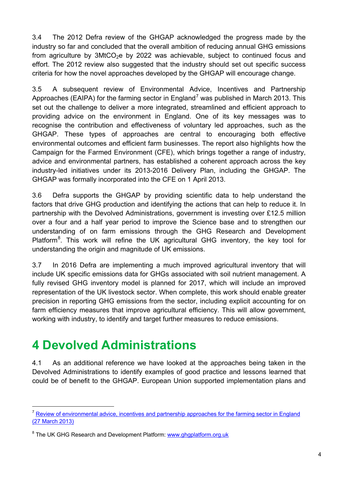3.4 The 2012 Defra review of the GHGAP acknowledged the progress made by the industry so far and concluded that the overall ambition of reducing annual GHG emissions from agriculture by  $3MtCO<sub>2</sub>e$  by 2022 was achievable, subject to continued focus and effort. The 2012 review also suggested that the industry should set out specific success criteria for how the novel approaches developed by the GHGAP will encourage change.

3.5 A subsequent review of Environmental Advice, Incentives and Partnership Approaches (EAIPA) for the farming sector in England<sup>[7](#page-6-1)</sup> was published in March 2013. This set out the challenge to deliver a more integrated, streamlined and efficient approach to providing advice on the environment in England. One of its key messages was to recognise the contribution and effectiveness of voluntary led approaches, such as the GHGAP. These types of approaches are central to encouraging both effective environmental outcomes and efficient farm businesses. The report also highlights how the Campaign for the Farmed Environment (CFE), which brings together a range of industry, advice and environmental partners, has established a coherent approach across the key industry-led initiatives under its 2013-2016 Delivery Plan, including the GHGAP. The GHGAP was formally incorporated into the CFE on 1 April 2013.

3.6 Defra supports the GHGAP by providing scientific data to help understand the factors that drive GHG production and identifying the actions that can help to reduce it. In partnership with the Devolved Administrations, government is investing over £12.5 million over a four and a half year period to improve the Science base and to strengthen our understanding of on farm emissions through the GHG Research and Development Platform<sup>[8](#page-6-2)</sup>. This work will refine the UK agricultural GHG inventory, the key tool for understanding the origin and magnitude of UK emissions.

3.7 In 2016 Defra are implementing a much improved agricultural inventory that will include UK specific emissions data for GHGs associated with soil nutrient management. A fully revised GHG inventory model is planned for 2017, which will include an improved representation of the UK livestock sector. When complete, this work should enable greater precision in reporting GHG emissions from the sector, including explicit accounting for on farm efficiency measures that improve agricultural efficiency. This will allow government, working with industry, to identify and target further measures to reduce emissions.

# <span id="page-6-0"></span>**4 Devolved Administrations**

4.1 As an additional reference we have looked at the approaches being taken in the Devolved Administrations to identify examples of good practice and lessons learned that could be of benefit to the GHGAP. European Union supported implementation plans and

<span id="page-6-1"></span>[Review of environmental advice, incentives and partnership approaches for the farming sector in England](https://www.gov.uk/government/publications/review-of-environmental-advice-incentives-and-partnership-approaches-for-the-farming-sector-in-england) (27 March 2013)

<span id="page-6-2"></span><sup>&</sup>lt;sup>8</sup> The UK GHG Research and Development Platform: [www.ghgplatform.org.uk](http://www.ghgplatform.org.uk/)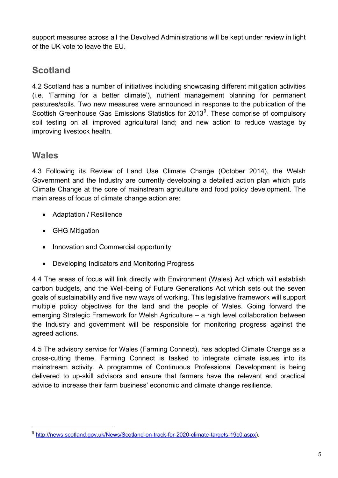support measures across all the Devolved Administrations will be kept under review in light of the UK vote to leave the EU.

# **Scotland**

4.2 Scotland has a number of initiatives including showcasing different mitigation activities (i.e. 'Farming for a better climate'), nutrient management planning for permanent pastures/soils. Two new measures were announced in response to the publication of the Scottish Greenhouse Gas Emissions Statistics for 2013<sup>[9](#page-7-0)</sup>. These comprise of compulsory soil testing on all improved agricultural land; and new action to reduce wastage by improving livestock health.

### **Wales**

4.3 Following its Review of Land Use Climate Change (October 2014), the Welsh Government and the Industry are currently developing a detailed action plan which puts Climate Change at the core of mainstream agriculture and food policy development. The main areas of focus of climate change action are:

- Adaptation / Resilience
- GHG Mitigation
- Innovation and Commercial opportunity
- Developing Indicators and Monitoring Progress

4.4 The areas of focus will link directly with Environment (Wales) Act which will establish carbon budgets, and the Well-being of Future Generations Act which sets out the seven goals of sustainability and five new ways of working. This legislative framework will support multiple policy objectives for the land and the people of Wales. Going forward the emerging Strategic Framework for Welsh Agriculture – a high level collaboration between the Industry and government will be responsible for monitoring progress against the agreed actions.

4.5 The advisory service for Wales (Farming Connect), has adopted Climate Change as a cross-cutting theme. Farming Connect is tasked to integrate climate issues into its mainstream activity. A programme of Continuous Professional Development is being delivered to up-skill advisors and ensure that farmers have the relevant and practical advice to increase their farm business' economic and climate change resilience.

<span id="page-7-0"></span> <sup>9</sup> [http://news.scotland.gov.uk/News/Scotland-on-track-for-2020-climate-targets-19c0.aspx\)](http://news.scotland.gov.uk/News/Scotland-on-track-for-2020-climate-targets-19c0.aspx).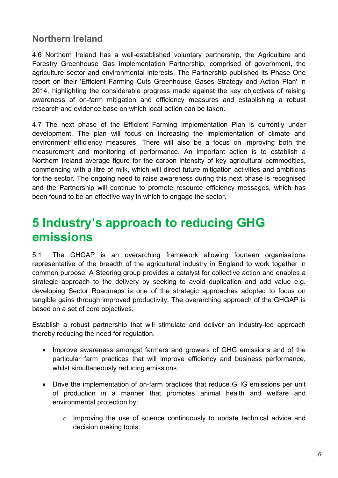### **Northern Ireland**

4.6 Northern Ireland has a well-established voluntary partnership, the Agriculture and Forestry Greenhouse Gas Implementation Partnership, comprised of government, the agriculture sector and environmental interests. The Partnership published its Phase One report on their 'Efficient Farming Cuts Greenhouse Gases Strategy and Action Plan' in 2014, highlighting the considerable progress made against the key objectives of raising awareness of on-farm mitigation and efficiency measures and establishing a robust research and evidence base on which local action can be taken.

4.7 The next phase of the Efficient Farming Implementation Plan is currently under development. The plan will focus on increasing the implementation of climate and environment efficiency measures. There will also be a focus on improving both the measurement and monitoring of performance. An important action is to establish a Northern Ireland average figure for the carbon intensity of key agricultural commodities, commencing with a litre of milk, which will direct future mitigation activities and ambitions for the sector. The ongoing need to raise awareness during this next phase is recognised and the Partnership will continue to promote resource efficiency messages, which has been found to be an effective way in which to engage the sector.

# <span id="page-8-0"></span>**5 Industry's approach to reducing GHG emissions**

5.1 The GHGAP is an overarching framework allowing fourteen organisations representative of the breadth of the agricultural industry in England to work together in common purpose. A Steering group provides a catalyst for collective action and enables a strategic approach to the delivery by seeking to avoid duplication and add value e.g. developing Sector Roadmaps is one of the strategic approaches adopted to focus on tangible gains through improved productivity. The overarching approach of the GHGAP is based on a set of core objectives:

Establish a robust partnership that will stimulate and deliver an industry-led approach thereby reducing the need for regulation.

- Improve awareness amongst farmers and growers of GHG emissions and of the particular farm practices that will improve efficiency and business performance, whilst simultaneously reducing emissions.
- Drive the implementation of on-farm practices that reduce GHG emissions per unit of production in a manner that promotes animal health and welfare and environmental protection by:
	- o Improving the use of science continuously to update technical advice and decision making tools;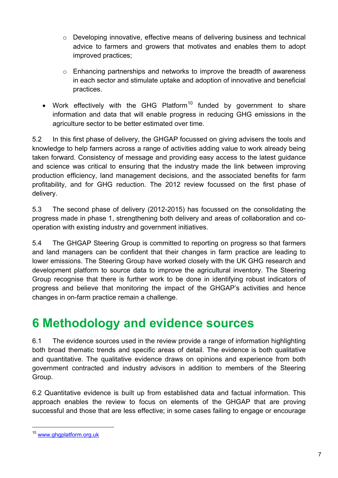- o Developing innovative, effective means of delivering business and technical advice to farmers and growers that motivates and enables them to adopt improved practices;
- o Enhancing partnerships and networks to improve the breadth of awareness in each sector and stimulate uptake and adoption of innovative and beneficial practices.
- Work effectively with the GHG Platform<sup>[10](#page-9-1)</sup> funded by government to share information and data that will enable progress in reducing GHG emissions in the agriculture sector to be better estimated over time.

5.2 In this first phase of delivery, the GHGAP focussed on giving advisers the tools and knowledge to help farmers across a range of activities adding value to work already being taken forward. Consistency of message and providing easy access to the latest guidance and science was critical to ensuring that the industry made the link between improving production efficiency, land management decisions, and the associated benefits for farm profitability, and for GHG reduction. The 2012 review focussed on the first phase of delivery.

5.3 The second phase of delivery (2012-2015) has focussed on the consolidating the progress made in phase 1, strengthening both delivery and areas of collaboration and cooperation with existing industry and government initiatives.

5.4 The GHGAP Steering Group is committed to reporting on progress so that farmers and land managers can be confident that their changes in farm practice are leading to lower emissions. The Steering Group have worked closely with the UK GHG research and development platform to source data to improve the agricultural inventory. The Steering Group recognise that there is further work to be done in identifying robust indicators of progress and believe that monitoring the impact of the GHGAP's activities and hence changes in on-farm practice remain a challenge.

# <span id="page-9-0"></span>**6 Methodology and evidence sources**

6.1 The evidence sources used in the review provide a range of information highlighting both broad thematic trends and specific areas of detail. The evidence is both qualitative and quantitative. The qualitative evidence draws on opinions and experience from both government contracted and industry advisors in addition to members of the Steering Group.

6.2 Quantitative evidence is built up from established data and factual information. This approach enables the review to focus on elements of the GHGAP that are proving successful and those that are less effective; in some cases failing to engage or encourage

<span id="page-9-1"></span> <sup>10</sup> [www.ghgplatform.org.uk](http://www.ghgplatform.org.uk/)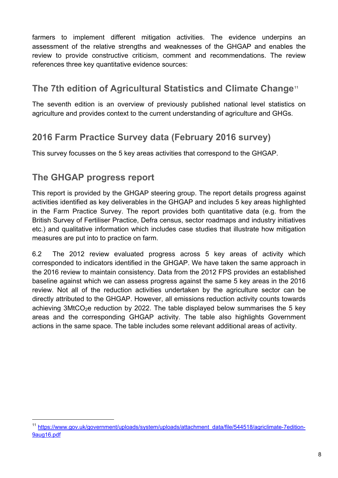farmers to implement different mitigation activities. The evidence underpins an assessment of the relative strengths and weaknesses of the GHGAP and enables the review to provide constructive criticism, comment and recommendations. The review references three key quantitative evidence sources:

### **The 7th edition of Agricultural Statistics and Climate Change[11](#page-10-0)**

The seventh edition is an overview of previously published national level statistics on agriculture and provides context to the current understanding of agriculture and GHGs.

# **2016 Farm Practice Survey data (February 2016 survey)**

This survey focusses on the 5 key areas activities that correspond to the GHGAP.

# **The GHGAP progress report**

This report is provided by the GHGAP steering group. The report details progress against activities identified as key deliverables in the GHGAP and includes 5 key areas highlighted in the Farm Practice Survey. The report provides both quantitative data (e.g. from the British Survey of Fertiliser Practice, Defra census, sector roadmaps and industry initiatives etc.) and qualitative information which includes case studies that illustrate how mitigation measures are put into to practice on farm.

6.2 The 2012 review evaluated progress across 5 key areas of activity which corresponded to indicators identified in the GHGAP. We have taken the same approach in the 2016 review to maintain consistency. Data from the 2012 FPS provides an established baseline against which we can assess progress against the same 5 key areas in the 2016 review. Not all of the reduction activities undertaken by the agriculture sector can be directly attributed to the GHGAP. However, all emissions reduction activity counts towards achieving  $3MtCO<sub>2</sub>e$  reduction by 2022. The table displayed below summarises the 5 key areas and the corresponding GHGAP activity. The table also highlights Government actions in the same space. The table includes some relevant additional areas of activity.

<span id="page-10-0"></span> <sup>11</sup> [https://www.gov.uk/government/uploads/system/uploads/attachment\\_data/file/544518/agriclimate-7edition-](https://www.gov.uk/government/uploads/system/uploads/attachment_data/file/544518/agriclimate-7edition-9aug16.pdf)[9aug16.pdf](https://www.gov.uk/government/uploads/system/uploads/attachment_data/file/544518/agriclimate-7edition-9aug16.pdf)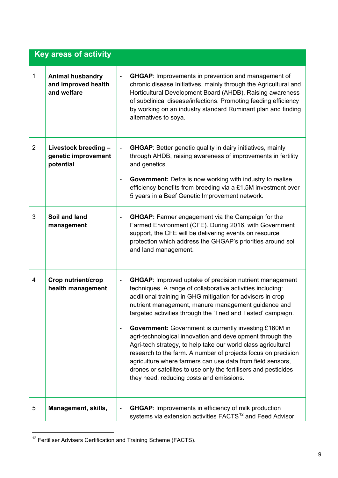|                | <b>Key areas of activity</b>                                  |                                                                                                                                                                                                                                                                                                                                                                                                                                                                                                                                                                                                                                                                                                                                                                   |
|----------------|---------------------------------------------------------------|-------------------------------------------------------------------------------------------------------------------------------------------------------------------------------------------------------------------------------------------------------------------------------------------------------------------------------------------------------------------------------------------------------------------------------------------------------------------------------------------------------------------------------------------------------------------------------------------------------------------------------------------------------------------------------------------------------------------------------------------------------------------|
| $\mathbf 1$    | <b>Animal husbandry</b><br>and improved health<br>and welfare | <b>GHGAP:</b> Improvements in prevention and management of<br>$\qquad \qquad \blacksquare$<br>chronic disease Initiatives, mainly through the Agricultural and<br>Horticultural Development Board (AHDB). Raising awareness<br>of subclinical disease/infections. Promoting feeding efficiency<br>by working on an industry standard Ruminant plan and finding<br>alternatives to soya.                                                                                                                                                                                                                                                                                                                                                                           |
| $\overline{2}$ | Livestock breeding -<br>genetic improvement<br>potential      | <b>GHGAP:</b> Better genetic quality in dairy initiatives, mainly<br>$\overline{\phantom{0}}$<br>through AHDB, raising awareness of improvements in fertility<br>and genetics.<br><b>Government:</b> Defra is now working with industry to realise<br>$\qquad \qquad \blacksquare$<br>efficiency benefits from breeding via a £1.5M investment over<br>5 years in a Beef Genetic Improvement network.                                                                                                                                                                                                                                                                                                                                                             |
| 3              | Soil and land<br>management                                   | <b>GHGAP:</b> Farmer engagement via the Campaign for the<br>$\overline{\phantom{0}}$<br>Farmed Environment (CFE). During 2016, with Government<br>support, the CFE will be delivering events on resource<br>protection which address the GHGAP's priorities around soil<br>and land management.                                                                                                                                                                                                                                                                                                                                                                                                                                                                   |
| 4              | <b>Crop nutrient/crop</b><br>health management                | <b>GHGAP:</b> Improved uptake of precision nutrient management<br>-<br>techniques. A range of collaborative activities including:<br>additional training in GHG mitigation for advisers in crop<br>nutrient management, manure management guidance and<br>targeted activities through the 'Tried and Tested' campaign.<br>Government: Government is currently investing £160M in<br>-<br>agri-technological innovation and development through the<br>Agri-tech strategy, to help take our world class agricultural<br>research to the farm. A number of projects focus on precision<br>agriculture where farmers can use data from field sensors,<br>drones or satellites to use only the fertilisers and pesticides<br>they need, reducing costs and emissions. |
| 5              | Management, skills,                                           | <b>GHGAP:</b> Improvements in efficiency of milk production<br>systems via extension activities FACTS <sup>12</sup> and Feed Advisor                                                                                                                                                                                                                                                                                                                                                                                                                                                                                                                                                                                                                              |

<span id="page-11-0"></span><sup>&</sup>lt;sup>12</sup> Fertiliser Advisers Certification and Training Scheme (FACTS).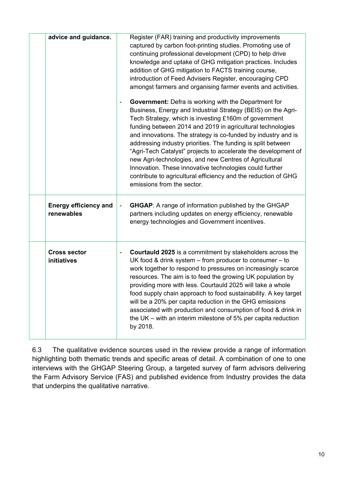| advice and guidance.                       | Register (FAR) training and productivity improvements                                                                                                                                                                                                                                                                                                                                                                                                                                                                                                                                                                                                                      |
|--------------------------------------------|----------------------------------------------------------------------------------------------------------------------------------------------------------------------------------------------------------------------------------------------------------------------------------------------------------------------------------------------------------------------------------------------------------------------------------------------------------------------------------------------------------------------------------------------------------------------------------------------------------------------------------------------------------------------------|
|                                            | captured by carbon foot-printing studies. Promoting use of<br>continuing professional development (CPD) to help drive<br>knowledge and uptake of GHG mitigation practices. Includes<br>addition of GHG mitigation to FACTS training course,<br>introduction of Feed Advisers Register, encouraging CPD<br>amongst farmers and organising farmer events and activities.                                                                                                                                                                                                                                                                                                     |
|                                            | <b>Government:</b> Defra is working with the Department for<br>Business, Energy and Industrial Strategy (BEIS) on the Agri-<br>Tech Strategy, which is investing £160m of government<br>funding between 2014 and 2019 in agricultural technologies<br>and innovations. The strategy is co-funded by industry and is<br>addressing industry priorities. The funding is split between<br>"Agri-Tech Catalyst" projects to accelerate the development of<br>new Agri-technologies, and new Centres of Agricultural<br>Innovation. These innovative technologies could further<br>contribute to agricultural efficiency and the reduction of GHG<br>emissions from the sector. |
| <b>Energy efficiency and</b><br>renewables | <b>GHGAP:</b> A range of information published by the GHGAP<br>partners including updates on energy efficiency, renewable<br>energy technologies and Government incentives.                                                                                                                                                                                                                                                                                                                                                                                                                                                                                                |
| <b>Cross sector</b><br>initiatives         | Courtauld 2025 is a commitment by stakeholders across the<br>UK food & drink system $-$ from producer to consumer $-$ to<br>work together to respond to pressures on increasingly scarce<br>resources. The aim is to feed the growing UK population by<br>providing more with less. Courtauld 2025 will take a whole<br>food supply chain approach to food sustainability. A key target<br>will be a 20% per capita reduction in the GHG emissions<br>associated with production and consumption of food & drink in<br>the UK $-$ with an interim milestone of 5% per capita reduction<br>by 2018.                                                                         |
|                                            |                                                                                                                                                                                                                                                                                                                                                                                                                                                                                                                                                                                                                                                                            |

6.3 The qualitative evidence sources used in the review provide a range of information highlighting both thematic trends and specific areas of detail. A combination of one to one interviews with the GHGAP Steering Group, a targeted survey of farm advisors delivering the Farm Advisory Service (FAS) and published evidence from Industry provides the data that underpins the qualitative narrative.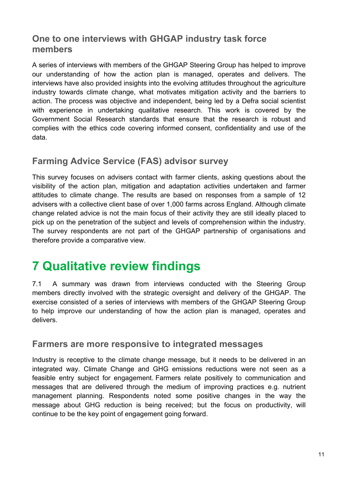#### **One to one interviews with GHGAP industry task force members**

A series of interviews with members of the GHGAP Steering Group has helped to improve our understanding of how the action plan is managed, operates and delivers. The interviews have also provided insights into the evolving attitudes throughout the agriculture industry towards climate change, what motivates mitigation activity and the barriers to action. The process was objective and independent, being led by a Defra social scientist with experience in undertaking qualitative research. This work is covered by the Government Social Research standards that ensure that the research is robust and complies with the ethics code covering informed consent, confidentiality and use of the data.

# **Farming Advice Service (FAS) advisor survey**

This survey focuses on advisers contact with farmer clients, asking questions about the visibility of the action plan, mitigation and adaptation activities undertaken and farmer attitudes to climate change. The results are based on responses from a sample of 12 advisers with a collective client base of over 1,000 farms across England. Although climate change related advice is not the main focus of their activity they are still ideally placed to pick up on the penetration of the subject and levels of comprehension within the industry. The survey respondents are not part of the GHGAP partnership of organisations and therefore provide a comparative view.

# <span id="page-13-0"></span>**7 Qualitative review findings**

7.1 A summary was drawn from interviews conducted with the Steering Group members directly involved with the strategic oversight and delivery of the GHGAP. The exercise consisted of a series of interviews with members of the GHGAP Steering Group to help improve our understanding of how the action plan is managed, operates and delivers.

#### **Farmers are more responsive to integrated messages**

Industry is receptive to the climate change message, but it needs to be delivered in an integrated way. Climate Change and GHG emissions reductions were not seen as a feasible entry subject for engagement. Farmers relate positively to communication and messages that are delivered through the medium of improving practices e.g. nutrient management planning. Respondents noted some positive changes in the way the message about GHG reduction is being received; but the focus on productivity, will continue to be the key point of engagement going forward.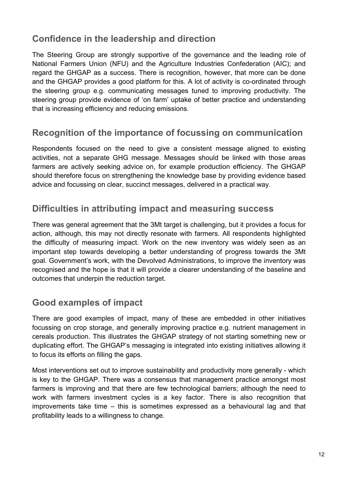# **Confidence in the leadership and direction**

The Steering Group are strongly supportive of the governance and the leading role of National Farmers Union (NFU) and the Agriculture Industries Confederation (AIC); and regard the GHGAP as a success. There is recognition, however, that more can be done and the GHGAP provides a good platform for this. A lot of activity is co-ordinated through the steering group e.g. communicating messages tuned to improving productivity. The steering group provide evidence of 'on farm' uptake of better practice and understanding that is increasing efficiency and reducing emissions.

### **Recognition of the importance of focussing on communication**

Respondents focused on the need to give a consistent message aligned to existing activities, not a separate GHG message. Messages should be linked with those areas farmers are actively seeking advice on, for example production efficiency. The GHGAP should therefore focus on strengthening the knowledge base by providing evidence based advice and focussing on clear, succinct messages, delivered in a practical way.

### **Difficulties in attributing impact and measuring success**

There was general agreement that the 3Mt target is challenging, but it provides a focus for action, although, this may not directly resonate with farmers. All respondents highlighted the difficulty of measuring impact. Work on the new inventory was widely seen as an important step towards developing a better understanding of progress towards the 3Mt goal. Government's work, with the Devolved Administrations, to improve the inventory was recognised and the hope is that it will provide a clearer understanding of the baseline and outcomes that underpin the reduction target.

### **Good examples of impact**

There are good examples of impact, many of these are embedded in other initiatives focussing on crop storage, and generally improving practice e.g. nutrient management in cereals production. This illustrates the GHGAP strategy of not starting something new or duplicating effort. The GHGAP's messaging is integrated into existing initiatives allowing it to focus its efforts on filling the gaps.

Most interventions set out to improve sustainability and productivity more generally - which is key to the GHGAP. There was a consensus that management practice amongst most farmers is improving and that there are few technological barriers; although the need to work with farmers investment cycles is a key factor. There is also recognition that improvements take time – this is sometimes expressed as a behavioural lag and that profitability leads to a willingness to change.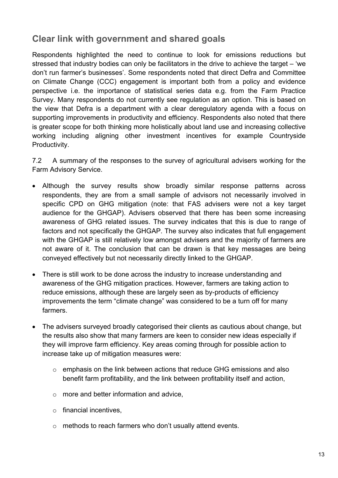### **Clear link with government and shared goals**

Respondents highlighted the need to continue to look for emissions reductions but stressed that industry bodies can only be facilitators in the drive to achieve the target – 'we don't run farmer's businesses'. Some respondents noted that direct Defra and Committee on Climate Change (CCC) engagement is important both from a policy and evidence perspective i.e. the importance of statistical series data e.g. from the Farm Practice Survey. Many respondents do not currently see regulation as an option. This is based on the view that Defra is a department with a clear deregulatory agenda with a focus on supporting improvements in productivity and efficiency. Respondents also noted that there is greater scope for both thinking more holistically about land use and increasing collective working including aligning other investment incentives for example Countryside Productivity.

7.2 A summary of the responses to the survey of agricultural advisers working for the Farm Advisory Service.

- Although the survey results show broadly similar response patterns across respondents, they are from a small sample of advisors not necessarily involved in specific CPD on GHG mitigation (note: that FAS advisers were not a key target audience for the GHGAP). Advisers observed that there has been some increasing awareness of GHG related issues. The survey indicates that this is due to range of factors and not specifically the GHGAP. The survey also indicates that full engagement with the GHGAP is still relatively low amongst advisers and the majority of farmers are not aware of it. The conclusion that can be drawn is that key messages are being conveyed effectively but not necessarily directly linked to the GHGAP.
- There is still work to be done across the industry to increase understanding and awareness of the GHG mitigation practices. However, farmers are taking action to reduce emissions, although these are largely seen as by-products of efficiency improvements the term "climate change" was considered to be a turn off for many farmers.
- The advisers surveyed broadly categorised their clients as cautious about change, but the results also show that many farmers are keen to consider new ideas especially if they will improve farm efficiency. Key areas coming through for possible action to increase take up of mitigation measures were:
	- o emphasis on the link between actions that reduce GHG emissions and also benefit farm profitability, and the link between profitability itself and action,
	- $\circ$  more and better information and advice,
	- o financial incentives,
	- o methods to reach farmers who don't usually attend events.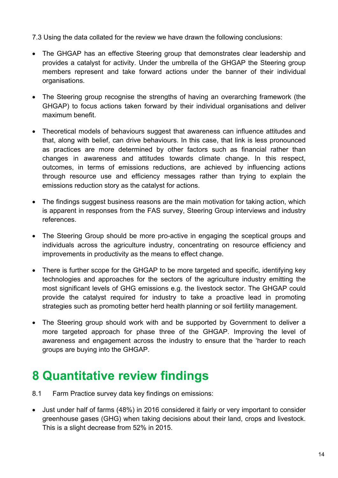7.3 Using the data collated for the review we have drawn the following conclusions:

- The GHGAP has an effective Steering group that demonstrates clear leadership and provides a catalyst for activity. Under the umbrella of the GHGAP the Steering group members represent and take forward actions under the banner of their individual organisations.
- The Steering group recognise the strengths of having an overarching framework (the GHGAP) to focus actions taken forward by their individual organisations and deliver maximum benefit.
- Theoretical models of behaviours suggest that awareness can influence attitudes and that, along with belief, can drive behaviours. In this case, that link is less pronounced as practices are more determined by other factors such as financial rather than changes in awareness and attitudes towards climate change. In this respect, outcomes, in terms of emissions reductions, are achieved by influencing actions through resource use and efficiency messages rather than trying to explain the emissions reduction story as the catalyst for actions.
- The findings suggest business reasons are the main motivation for taking action, which is apparent in responses from the FAS survey, Steering Group interviews and industry references.
- The Steering Group should be more pro-active in engaging the sceptical groups and individuals across the agriculture industry, concentrating on resource efficiency and improvements in productivity as the means to effect change.
- There is further scope for the GHGAP to be more targeted and specific, identifying key technologies and approaches for the sectors of the agriculture industry emitting the most significant levels of GHG emissions e.g. the livestock sector. The GHGAP could provide the catalyst required for industry to take a proactive lead in promoting strategies such as promoting better herd health planning or soil fertility management.
- The Steering group should work with and be supported by Government to deliver a more targeted approach for phase three of the GHGAP. Improving the level of awareness and engagement across the industry to ensure that the 'harder to reach groups are buying into the GHGAP.

# <span id="page-16-0"></span>**8 Quantitative review findings**

- 8.1 Farm Practice survey data key findings on emissions:
- Just under half of farms (48%) in 2016 considered it fairly or very important to consider greenhouse gases (GHG) when taking decisions about their land, crops and livestock. This is a slight decrease from 52% in 2015.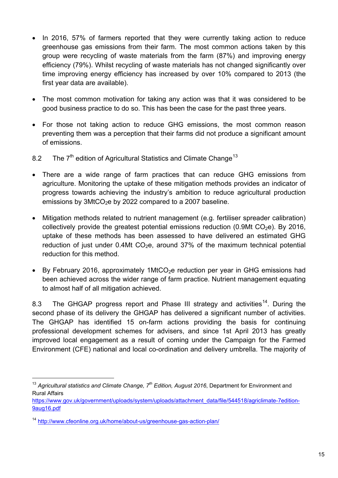- In 2016, 57% of farmers reported that they were currently taking action to reduce greenhouse gas emissions from their farm. The most common actions taken by this group were recycling of waste materials from the farm (87%) and improving energy efficiency (79%). Whilst recycling of waste materials has not changed significantly over time improving energy efficiency has increased by over 10% compared to 2013 (the first year data are available).
- The most common motivation for taking any action was that it was considered to be good business practice to do so. This has been the case for the past three years.
- For those not taking action to reduce GHG emissions, the most common reason preventing them was a perception that their farms did not produce a significant amount of emissions.
- 8.2 The  $7<sup>th</sup>$  edition of Agricultural Statistics and Climate Change<sup>[13](#page-17-0)</sup>
- There are a wide range of farm practices that can reduce GHG emissions from agriculture. Monitoring the uptake of these mitigation methods provides an indicator of progress towards achieving the industry's ambition to reduce agricultural production emissions by  $3$ MtCO<sub>2</sub>e by 2022 compared to a 2007 baseline.
- Mitigation methods related to nutrient management (e.g. fertiliser spreader calibration) collectively provide the greatest potential emissions reduction  $(0.9Mt CO<sub>2</sub>e)$ . By 2016, uptake of these methods has been assessed to have delivered an estimated GHG reduction of just under  $0.4Mt CO<sub>2</sub>e$ , around 37% of the maximum technical potential reduction for this method.
- By February 2016, approximately 1MtCO<sub>2</sub>e reduction per year in GHG emissions had been achieved across the wider range of farm practice. Nutrient management equating to almost half of all mitigation achieved.

8.3 The GHGAP progress report and Phase III strategy and activities<sup>[14](#page-17-1)</sup>. During the second phase of its delivery the GHGAP has delivered a significant number of activities. The GHGAP has identified 15 on-farm actions providing the basis for continuing professional development schemes for advisers, and since 1st April 2013 has greatly improved local engagement as a result of coming under the Campaign for the Farmed Environment (CFE) national and local co-ordination and delivery umbrella. The majority of

<span id="page-17-0"></span> <sup>13</sup> *Agricultural statistics and Climate Change, 7th Edition, August 2016*, Department for Environment and Rural Affairs

https://www.gov.uk/government/uploads/system/uploads/attachment\_data/file/544518/agriclimate-7edition-9aug16.pdf

<span id="page-17-1"></span><sup>14</sup> <http://www.cfeonline.org.uk/home/about-us/greenhouse-gas-action-plan/>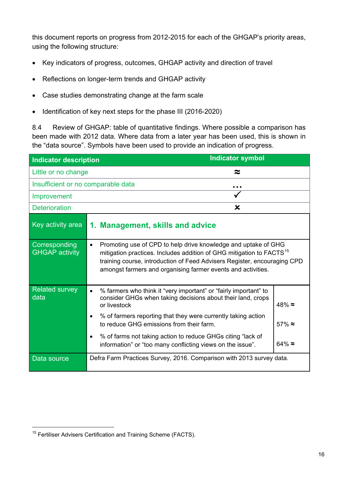this document reports on progress from 2012-2015 for each of the GHGAP's priority areas, using the following structure:

- Key indicators of progress, outcomes, GHGAP activity and direction of travel
- Reflections on longer-term trends and GHGAP activity
- Case studies demonstrating change at the farm scale
- Identification of key next steps for the phase III (2016-2020)

8.4 Review of GHGAP: table of quantitative findings. Where possible a comparison has been made with 2012 data. Where data from a later year has been used, this is shown in the "data source". Symbols have been used to provide an indication of progress.

| <b>Indicator description</b>           | <b>Indicator symbol</b>                                                                                                                                                                                                                                                                                     |                                  |
|----------------------------------------|-------------------------------------------------------------------------------------------------------------------------------------------------------------------------------------------------------------------------------------------------------------------------------------------------------------|----------------------------------|
| Little or no change                    | ≈                                                                                                                                                                                                                                                                                                           |                                  |
| Insufficient or no comparable data     |                                                                                                                                                                                                                                                                                                             |                                  |
| Improvement                            |                                                                                                                                                                                                                                                                                                             |                                  |
| <b>Deterioration</b>                   | $\mathbf x$                                                                                                                                                                                                                                                                                                 |                                  |
| Key activity area                      | 1. Management, skills and advice                                                                                                                                                                                                                                                                            |                                  |
| Corresponding<br><b>GHGAP activity</b> | Promoting use of CPD to help drive knowledge and uptake of GHG<br>$\bullet$<br>mitigation practices. Includes addition of GHG mitigation to FACTS <sup>15</sup><br>training course, introduction of Feed Advisers Register, encouraging CPD<br>amongst farmers and organising farmer events and activities. |                                  |
| <b>Related survey</b><br>data          | % farmers who think it "very important" or "fairly important" to<br>$\bullet$<br>consider GHGs when taking decisions about their land, crops<br>or livestock<br>% of farmers reporting that they were currently taking action<br>$\bullet$<br>to reduce GHG emissions from their farm.                      | $48\% \approx$<br>$57\% \approx$ |
|                                        | % of farms not taking action to reduce GHGs citing "lack of<br>$\bullet$<br>information" or "too many conflicting views on the issue".                                                                                                                                                                      | 64% $\approx$                    |
| Data source                            | Defra Farm Practices Survey, 2016. Comparison with 2013 survey data.                                                                                                                                                                                                                                        |                                  |

<span id="page-18-0"></span><sup>&</sup>lt;sup>15</sup> Fertiliser Advisers Certification and Training Scheme (FACTS).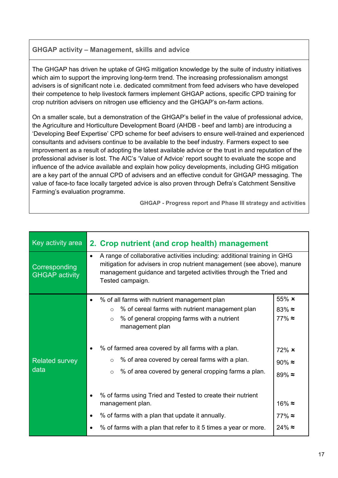#### **GHGAP activity – Management, skills and advice**

The GHGAP has driven he uptake of GHG mitigation knowledge by the suite of industry initiatives which aim to support the improving long-term trend. The increasing professionalism amongst advisers is of significant note i.e. dedicated commitment from feed advisers who have developed their competence to help livestock farmers implement GHGAP actions, specific CPD training for crop nutrition advisers on nitrogen use efficiency and the GHGAP's on-farm actions.

On a smaller scale, but a demonstration of the GHGAP's belief in the value of professional advice, the Agriculture and Horticulture Development Board (AHDB - beef and lamb) are introducing a 'Developing Beef Expertise' CPD scheme for beef advisers to ensure well-trained and experienced consultants and advisers continue to be available to the beef industry. Farmers expect to see improvement as a result of adopting the latest available advice or the trust in and reputation of the professional adviser is lost. The AIC's 'Value of Advice' report sought to evaluate the scope and influence of the advice available and explain how policy developments, including GHG mitigation are a key part of the annual CPD of advisers and an effective conduit for GHGAP messaging. The value of face-to face locally targeted advice is also proven through Defra's Catchment Sensitive Farming's evaluation programme.

**GHGAP - Progress report and Phase III strategy and activities**

| Key activity area                      | 2. Crop nutrient (and crop health) management                                                                                                                                                                                                                                                                                                                                              |                                                                      |
|----------------------------------------|--------------------------------------------------------------------------------------------------------------------------------------------------------------------------------------------------------------------------------------------------------------------------------------------------------------------------------------------------------------------------------------------|----------------------------------------------------------------------|
| Corresponding<br><b>GHGAP activity</b> | A range of collaborative activities including: additional training in GHG<br>$\bullet$<br>mitigation for advisers in crop nutrient management (see above), manure<br>management guidance and targeted activities through the Tried and<br>Tested campaign.                                                                                                                                 |                                                                      |
| <b>Related survey</b><br>data          | % of all farms with nutrient management plan<br>$\bullet$<br>% of cereal farms with nutrient management plan<br>$\circ$<br>% of general cropping farms with a nutrient<br>$\circ$<br>management plan<br>% of farmed area covered by all farms with a plan.<br>% of area covered by cereal farms with a plan.<br>$\circ$<br>% of area covered by general cropping farms a plan.<br>$\Omega$ | 55% x<br>$83\% \approx$<br>$77\% \approx$<br>72% x<br>$90\% \approx$ |
|                                        | % of farms using Tried and Tested to create their nutrient<br>management plan.<br>% of farms with a plan that update it annually.<br>$\bullet$<br>% of farms with a plan that refer to it 5 times a year or more.                                                                                                                                                                          | $89\% \approx$<br>$16\% \approx$<br>$77\% \approx$<br>$24\% \approx$ |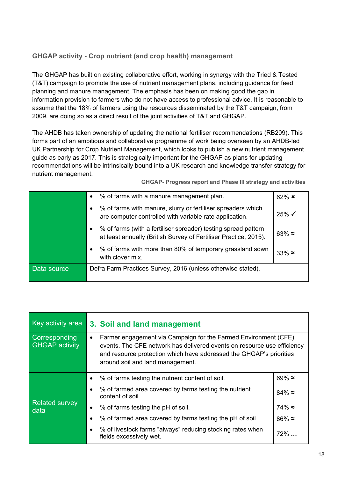#### **GHGAP activity - Crop nutrient (and crop health) management**

The GHGAP has built on existing collaborative effort, working in synergy with the Tried & Tested (T&T) campaign to promote the use of nutrient management plans, including guidance for feed planning and manure management. The emphasis has been on making good the gap in information provision to farmers who do not have access to professional advice. It is reasonable to assume that the 18% of farmers using the resources disseminated by the T&T campaign, from 2009, are doing so as a direct result of the joint activities of T&T and GHGAP.

The AHDB has taken ownership of updating the national fertiliser recommendations (RB209). This forms part of an ambitious and collaborative programme of work being overseen by an AHDB-led UK Partnership for Crop Nutrient Management, which looks to publish a new nutrient management guide as early as 2017. This is strategically important for the GHGAP as plans for updating recommendations will be intrinsically bound into a UK research and knowledge transfer strategy for nutrient management.

**GHGAP- Progress report and Phase III strategy and activities**

|             | % of farms with a manure management plan.<br>$\bullet$                                                                                  | $62\%$ $\times$   |
|-------------|-----------------------------------------------------------------------------------------------------------------------------------------|-------------------|
|             | % of farms with manure, slurry or fertiliser spreaders which<br>٠<br>are computer controlled with variable rate application.            | $25\% \checkmark$ |
|             | % of farms (with a fertiliser spreader) testing spread pattern<br>٠<br>at least annually (British Survey of Fertiliser Practice, 2015). | $63\% \approx$    |
|             | % of farms with more than 80% of temporary grassland sown<br>٠<br>with clover mix.                                                      | $33\% \approx$    |
| Data source | Defra Farm Practices Survey, 2016 (unless otherwise stated).                                                                            |                   |

| Key activity area                      | 3. Soil and land management                                                                                                                                                                                                                                        |                |
|----------------------------------------|--------------------------------------------------------------------------------------------------------------------------------------------------------------------------------------------------------------------------------------------------------------------|----------------|
| Corresponding<br><b>GHGAP activity</b> | Farmer engagement via Campaign for the Farmed Environment (CFE)<br>$\bullet$<br>events. The CFE network has delivered events on resource use efficiency<br>and resource protection which have addressed the GHGAP's priorities<br>around soil and land management. |                |
|                                        | % of farms testing the nutrient content of soil.<br>$\bullet$                                                                                                                                                                                                      | 69% $\approx$  |
| <b>Related survey</b><br>data          | % of farmed area covered by farms testing the nutrient<br>$\bullet$<br>content of soil.                                                                                                                                                                            | $84\% \approx$ |
|                                        | % of farms testing the pH of soil.<br>$\bullet$                                                                                                                                                                                                                    | $74\% \approx$ |
|                                        | % of farmed area covered by farms testing the pH of soil.<br>$\bullet$                                                                                                                                                                                             | $86\% \approx$ |
|                                        | % of livestock farms "always" reducing stocking rates when<br>$\bullet$<br>fields excessively wet.                                                                                                                                                                 | $72\%$         |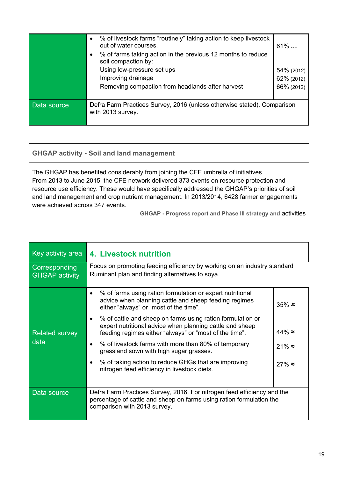|             | % of livestock farms "routinely" taking action to keep livestock<br>$\bullet$<br>out of water courses.<br>% of farms taking action in the previous 12 months to reduce<br>soil compaction by:<br>Using low-pressure set ups<br>Improving drainage<br>Removing compaction from headlands after harvest | $61\%$<br>54% (2012)<br>62% (2012)<br>66% (2012) |
|-------------|-------------------------------------------------------------------------------------------------------------------------------------------------------------------------------------------------------------------------------------------------------------------------------------------------------|--------------------------------------------------|
| Data source | Defra Farm Practices Survey, 2016 (unless otherwise stated). Comparison<br>with 2013 survey.                                                                                                                                                                                                          |                                                  |
|             |                                                                                                                                                                                                                                                                                                       |                                                  |

#### **GHGAP activity - Soil and land management**

The GHGAP has benefited considerably from joining the CFE umbrella of initiatives. From 2013 to June 2015, the CFE network delivered 373 events on resource protection and resource use efficiency. These would have specifically addressed the GHGAP's priorities of soil and land management and crop nutrient management. In 2013/2014, 6428 farmer engagements were achieved across 347 events.

**GHGAP - Progress report and Phase III strategy and** activities

| Key activity area                      | 4. Livestock nutrition                                                                                                                                                                |                 |
|----------------------------------------|---------------------------------------------------------------------------------------------------------------------------------------------------------------------------------------|-----------------|
| Corresponding<br><b>GHGAP activity</b> | Focus on promoting feeding efficiency by working on an industry standard<br>Ruminant plan and finding alternatives to soya.                                                           |                 |
|                                        | % of farms using ration formulation or expert nutritional<br>$\bullet$<br>advice when planning cattle and sheep feeding regimes<br>either "always" or "most of the time".             | $35\%$ $\times$ |
| <b>Related survey</b>                  | % of cattle and sheep on farms using ration formulation or<br>٠<br>expert nutritional advice when planning cattle and sheep<br>feeding regimes either "always" or "most of the time". | $44\% \approx$  |
| data                                   | % of livestock farms with more than 80% of temporary<br>$\bullet$<br>grassland sown with high sugar grasses.                                                                          | $21\% \approx$  |
|                                        | % of taking action to reduce GHGs that are improving<br>$\bullet$<br>nitrogen feed efficiency in livestock diets.                                                                     | $27\% \approx$  |
| Data source                            | Defra Farm Practices Survey, 2016. For nitrogen feed efficiency and the<br>percentage of cattle and sheep on farms using ration formulation the<br>comparison with 2013 survey.       |                 |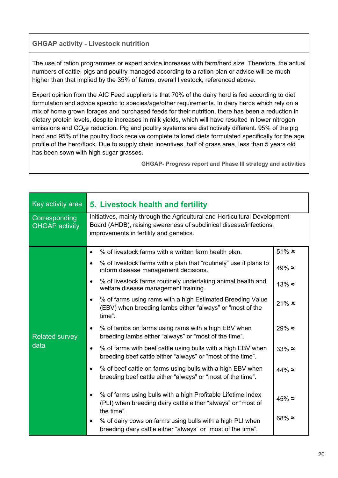#### **GHGAP activity - Livestock nutrition**

The use of ration programmes or expert advice increases with farm/herd size. Therefore, the actual numbers of cattle, pigs and poultry managed according to a ration plan or advice will be much higher than that implied by the 35% of farms, overall livestock, referenced above.

Expert opinion from the AIC Feed suppliers is that 70% of the dairy herd is fed according to diet formulation and advice specific to species/age/other requirements. In dairy herds which rely on a mix of home grown forages and purchased feeds for their nutrition, there has been a reduction in dietary protein levels, despite increases in milk yields, which will have resulted in lower nitrogen emissions and  $CO<sub>2</sub>e$  reduction. Pig and poultry systems are distinctively different. 95% of the pig herd and 95% of the poultry flock receive complete tailored diets formulated specifically for the age profile of the herd/flock. Due to supply chain incentives, half of grass area, less than 5 years old has been sown with high sugar grasses.

**GHGAP- Progress report and Phase III strategy and activities**

| Key activity area                      | 5. Livestock health and fertility                                                                                                                                                           |                 |
|----------------------------------------|---------------------------------------------------------------------------------------------------------------------------------------------------------------------------------------------|-----------------|
| Corresponding<br><b>GHGAP activity</b> | Initiatives, mainly through the Agricultural and Horticultural Development<br>Board (AHDB), raising awareness of subclinical disease/infections,<br>improvements in fertility and genetics. |                 |
|                                        | % of livestock farms with a written farm health plan.<br>$\bullet$                                                                                                                          | $51\%$ $\times$ |
|                                        | % of livestock farms with a plan that "routinely" use it plans to<br>$\bullet$<br>inform disease management decisions.                                                                      | $49\% \approx$  |
|                                        | % of livestock farms routinely undertaking animal health and<br>$\bullet$<br>welfare disease management training.                                                                           | $13\% \approx$  |
|                                        | % of farms using rams with a high Estimated Breeding Value<br>$\bullet$<br>(EBV) when breeding lambs either "always" or "most of the<br>time".                                              | $21\% \times$   |
| <b>Related survey</b><br>data          | % of lambs on farms using rams with a high EBV when<br>$\bullet$<br>breeding lambs either "always" or "most of the time".                                                                   | $29\% \approx$  |
|                                        | % of farms with beef cattle using bulls with a high EBV when<br>$\bullet$<br>breeding beef cattle either "always" or "most of the time".                                                    | $33\% \approx$  |
|                                        | % of beef cattle on farms using bulls with a high EBV when<br>$\bullet$<br>breeding beef cattle either "always" or "most of the time".                                                      | $44\% \approx$  |
|                                        | % of farms using bulls with a high Profitable Lifetime Index<br>$\bullet$<br>(PLI) when breeding dairy cattle either "always" or "most of<br>the time".                                     | $45\% \approx$  |
|                                        | % of dairy cows on farms using bulls with a high PLI when<br>$\bullet$<br>breeding dairy cattle either "always" or "most of the time".                                                      | $68\% \approx$  |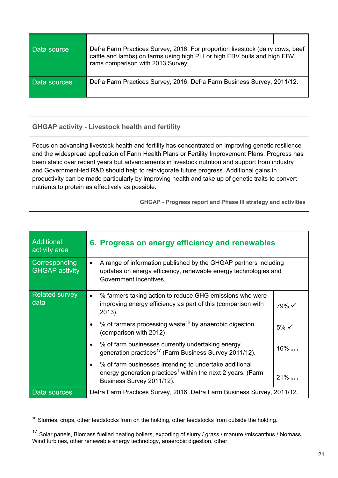| Data source  | Defra Farm Practices Survey, 2016. For proportion livestock (dairy cows, beef<br>cattle and lambs) on farms using high PLI or high EBV bulls and high EBV<br>rams comparison with 2013 Survey. |
|--------------|------------------------------------------------------------------------------------------------------------------------------------------------------------------------------------------------|
| Data sources | Defra Farm Practices Survey, 2016, Defra Farm Business Survey, 2011/12.                                                                                                                        |

#### **GHGAP activity - Livestock health and fertility**

Focus on advancing livestock health and fertility has concentrated on improving genetic resilience and the widespread application of Farm Health Plans or Fertility Improvement Plans. Progress has been static over recent years but advancements in livestock nutrition and support from industry and Government-led R&D should help to reinvigorate future progress. Additional gains in productivity can be made particularly by improving health and take up of genetic traits to convert nutrients to protein as effectively as possible.

**GHGAP - Progress report and Phase III strategy and activities**

| Additional<br>activity area            | 6. Progress on energy efficiency and renewables                                                                                                                             |                  |
|----------------------------------------|-----------------------------------------------------------------------------------------------------------------------------------------------------------------------------|------------------|
| Corresponding<br><b>GHGAP activity</b> | A range of information published by the GHGAP partners including<br>$\bullet$<br>updates on energy efficiency, renewable energy technologies and<br>Government incentives.  |                  |
| <b>Related survey</b><br>data          | % farmers taking action to reduce GHG emissions who were<br>$\bullet$<br>improving energy efficiency as part of this (comparison with<br>2013).                             | 79% √            |
|                                        | % of farmers processing waste <sup>16</sup> by anaerobic digestion<br>$\bullet$<br>(comparison with 2012)                                                                   | $5\% \checkmark$ |
|                                        | % of farm businesses currently undertaking energy<br>$\bullet$<br>generation practices <sup>17</sup> (Farm Business Survey 2011/12).                                        | $16\%$           |
|                                        | % of farm businesses intending to undertake additional<br>$\bullet$<br>energy generation practices <sup>1</sup> within the next 2 years. (Farm<br>Business Survey 2011/12). | $21\%$           |
| Data sources                           | Defra Farm Practices Survey, 2016, Defra Farm Business Survey, 2011/12.                                                                                                     |                  |

<span id="page-23-0"></span> $16$  Slurries, crops, other feedstocks from on the holding, other feedstocks from outside the holding.

<span id="page-23-1"></span><sup>17</sup> Solar panels, Biomass fuelled heating boilers, exporting of slurry / grass / manure /miscanthus / biomass, Wind turbines, other renewable energy technology, anaerobic digestion, other.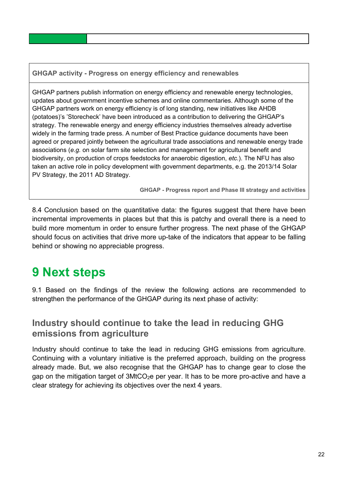**GHGAP activity - Progress on energy efficiency and renewables**

GHGAP partners publish information on energy efficiency and renewable energy technologies, updates about government incentive schemes and online commentaries. Although some of the GHGAP partners work on energy efficiency is of long standing, new initiatives like AHDB (potatoes)'s 'Storecheck' have been introduced as a contribution to delivering the GHGAP's strategy. The renewable energy and energy efficiency industries themselves already advertise widely in the farming trade press. A number of Best Practice guidance documents have been agreed or prepared jointly between the agricultural trade associations and renewable energy trade associations (*e.g.* on solar farm site selection and management for agricultural benefit and biodiversity, on production of crops feedstocks for anaerobic digestion, *etc*.). The NFU has also taken an active role in policy development with government departments, e.g. the 2013/14 Solar PV Strategy, the 2011 AD Strategy.

**GHGAP - Progress report and Phase III strategy and activities**

8.4 Conclusion based on the quantitative data: the figures suggest that there have been incremental improvements in places but that this is patchy and overall there is a need to build more momentum in order to ensure further progress. The next phase of the GHGAP should focus on activities that drive more up-take of the indicators that appear to be falling behind or showing no appreciable progress.

# <span id="page-24-0"></span>**9 Next steps**

9.1 Based on the findings of the review the following actions are recommended to strengthen the performance of the GHGAP during its next phase of activity:

#### **Industry should continue to take the lead in reducing GHG emissions from agriculture**

Industry should continue to take the lead in reducing GHG emissions from agriculture. Continuing with a voluntary initiative is the preferred approach, building on the progress already made. But, we also recognise that the GHGAP has to change gear to close the gap on the mitigation target of  $3$ MtCO<sub>2</sub>e per year. It has to be more pro-active and have a clear strategy for achieving its objectives over the next 4 years.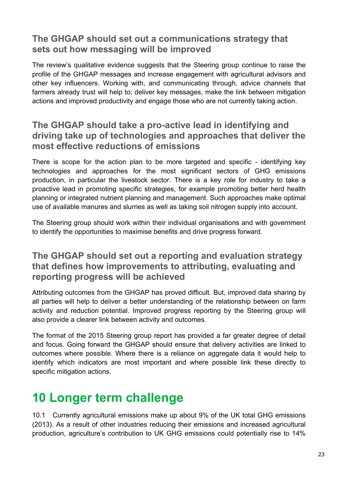#### **The GHGAP should set out a communications strategy that sets out how messaging will be improved**

The review's qualitative evidence suggests that the Steering group continue to raise the profile of the GHGAP messages and increase engagement with agricultural advisors and other key influencers. Working with, and communicating through, advice channels that farmers already trust will help to; deliver key messages, make the link between mitigation actions and improved productivity and engage those who are not currently taking action.

#### **The GHGAP should take a pro-active lead in identifying and driving take up of technologies and approaches that deliver the most effective reductions of emissions**

There is scope for the action plan to be more targeted and specific - identifying key technologies and approaches for the most significant sectors of GHG emissions production, in particular the livestock sector. There is a key role for industry to take a proactive lead in promoting specific strategies, for example promoting better herd health planning or integrated nutrient planning and management. Such approaches make optimal use of available manures and slurries as well as taking soil nitrogen supply into account.

The Steering group should work within their individual organisations and with government to identify the opportunities to maximise benefits and drive progress forward.

### **The GHGAP should set out a reporting and evaluation strategy that defines how improvements to attributing, evaluating and reporting progress will be achieved**

Attributing outcomes from the GHGAP has proved difficult. But, improved data sharing by all parties will help to deliver a better understanding of the relationship between on farm activity and reduction potential. Improved progress reporting by the Steering group will also provide a clearer link between activity and outcomes.

The format of the 2015 Steering group report has provided a far greater degree of detail and focus. Going forward the GHGAP should ensure that delivery activities are linked to outcomes where possible. Where there is a reliance on aggregate data it would help to identify which indicators are most important and where possible link these directly to specific mitigation actions.

# <span id="page-25-0"></span>**10 Longer term challenge**

10.1 Currently agricultural emissions make up about 9% of the UK total GHG emissions (2013). As a result of other industries reducing their emissions and increased agricultural production, agriculture's contribution to UK GHG emissions could potentially rise to 14%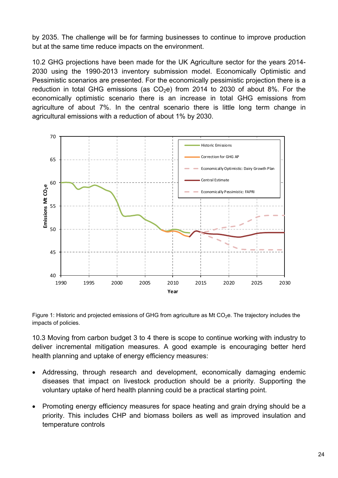by 2035. The challenge will be for farming businesses to continue to improve production but at the same time reduce impacts on the environment.

10.2 GHG projections have been made for the UK Agriculture sector for the years 2014- 2030 using the 1990-2013 inventory submission model. Economically Optimistic and Pessimistic scenarios are presented. For the economically pessimistic projection there is a reduction in total GHG emissions (as  $CO<sub>2</sub>e$ ) from 2014 to 2030 of about 8%. For the economically optimistic scenario there is an increase in total GHG emissions from agriculture of about 7%. In the central scenario there is little long term change in agricultural emissions with a reduction of about 1% by 2030.



Figure 1: Historic and projected emissions of GHG from agriculture as Mt CO<sub>2</sub>e. The trajectory includes the impacts of policies.

10.3 Moving from carbon budget 3 to 4 there is scope to continue working with industry to deliver incremental mitigation measures. A good example is encouraging better herd health planning and uptake of energy efficiency measures:

- Addressing, through research and development, economically damaging endemic diseases that impact on livestock production should be a priority. Supporting the voluntary uptake of herd health planning could be a practical starting point.
- Promoting energy efficiency measures for space heating and grain drying should be a priority. This includes CHP and biomass boilers as well as improved insulation and temperature controls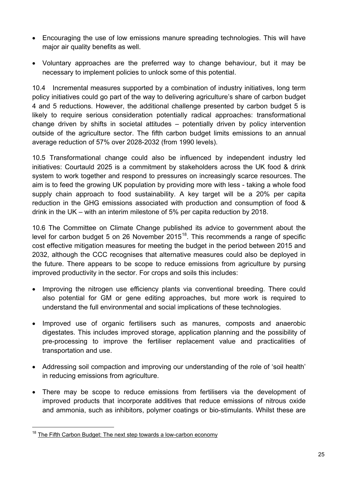- Encouraging the use of low emissions manure spreading technologies. This will have major air quality benefits as well.
- Voluntary approaches are the preferred way to change behaviour, but it may be necessary to implement policies to unlock some of this potential.

10.4 Incremental measures supported by a combination of industry initiatives, long term policy initiatives could go part of the way to delivering agriculture's share of carbon budget 4 and 5 reductions. However, the additional challenge presented by carbon budget 5 is likely to require serious consideration potentially radical approaches: transformational change driven by shifts in societal attitudes – potentially driven by policy intervention outside of the agriculture sector. The fifth carbon budget limits emissions to an annual average reduction of 57% over 2028-2032 (from 1990 levels).

10.5 Transformational change could also be influenced by independent industry led initiatives: Courtauld 2025 is a commitment by stakeholders across the UK food & drink system to work together and respond to pressures on increasingly scarce resources. The aim is to feed the growing UK population by providing more with less - taking a whole food supply chain approach to food sustainability. A key target will be a 20% per capita reduction in the GHG emissions associated with production and consumption of food & drink in the UK – with an interim milestone of 5% per capita reduction by 2018.

10.6 The Committee on Climate Change published its advice to government about the level for carbon budget 5 on 26 November  $2015^{18}$ . This recommends a range of specific cost effective mitigation measures for meeting the budget in the period between 2015 and 2032, although the CCC recognises that alternative measures could also be deployed in the future. There appears to be scope to reduce emissions from agriculture by pursing improved productivity in the sector. For crops and soils this includes:

- Improving the nitrogen use efficiency plants via conventional breeding. There could also potential for GM or gene editing approaches, but more work is required to understand the full environmental and social implications of these technologies.
- Improved use of organic fertilisers such as manures, composts and anaerobic digestates. This includes improved storage, application planning and the possibility of pre-processing to improve the fertiliser replacement value and practicalities of transportation and use.
- Addressing soil compaction and improving our understanding of the role of 'soil health' in reducing emissions from agriculture.
- There may be scope to reduce emissions from fertilisers via the development of improved products that incorporate additives that reduce emissions of nitrous oxide and ammonia, such as inhibitors, polymer coatings or bio-stimulants. Whilst these are

<span id="page-27-0"></span> $18$  [The Fifth Carbon Budget: The next step towards a low-carbon economy](https://www.theccc.org.uk/publication/the-fifth-carbon-budget-the-next-step-towards-a-low-carbon-economy/)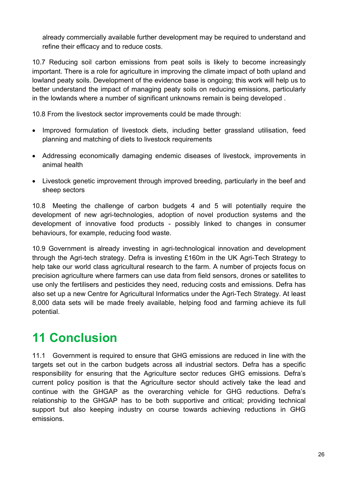already commercially available further development may be required to understand and refine their efficacy and to reduce costs.

10.7 Reducing soil carbon emissions from peat soils is likely to become increasingly important. There is a role for agriculture in improving the climate impact of both upland and lowland peaty soils. Development of the evidence base is ongoing; this work will help us to better understand the impact of managing peaty soils on reducing emissions, particularly in the lowlands where a number of significant unknowns remain is being developed .

10.8 From the livestock sector improvements could be made through:

- Improved formulation of livestock diets, including better grassland utilisation, feed planning and matching of diets to livestock requirements
- Addressing economically damaging endemic diseases of livestock, improvements in animal health
- Livestock genetic improvement through improved breeding, particularly in the beef and sheep sectors

10.8 Meeting the challenge of carbon budgets 4 and 5 will potentially require the development of new agri-technologies, adoption of novel production systems and the development of innovative food products - possibly linked to changes in consumer behaviours, for example, reducing food waste.

10.9 Government is already investing in agri-technological innovation and development through the Agri-tech strategy. Defra is investing £160m in the UK Agri-Tech Strategy to help take our world class agricultural research to the farm. A number of projects focus on precision agriculture where farmers can use data from field sensors, drones or satellites to use only the fertilisers and pesticides they need, reducing costs and emissions. Defra has also set up a new Centre for Agricultural Informatics under the Agri-Tech Strategy. At least 8,000 data sets will be made freely available, helping food and farming achieve its full potential.

# <span id="page-28-0"></span>**11 Conclusion**

11.1 Government is required to ensure that GHG emissions are reduced in line with the targets set out in the carbon budgets across all industrial sectors. Defra has a specific responsibility for ensuring that the Agriculture sector reduces GHG emissions. Defra's current policy position is that the Agriculture sector should actively take the lead and continue with the GHGAP as the overarching vehicle for GHG reductions. Defra's relationship to the GHGAP has to be both supportive and critical; providing technical support but also keeping industry on course towards achieving reductions in GHG emissions.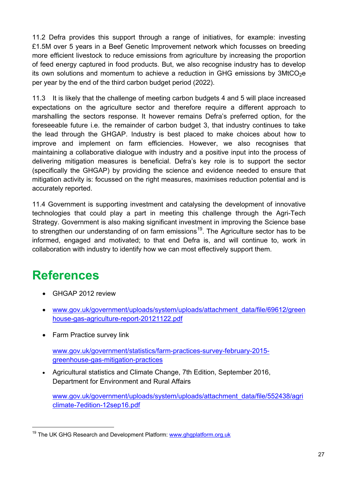11.2 Defra provides this support through a range of initiatives, for example: investing £1.5M over 5 years in a Beef Genetic Improvement network which focusses on breeding more efficient livestock to reduce emissions from agriculture by increasing the proportion of feed energy captured in food products. But, we also recognise industry has to develop its own solutions and momentum to achieve a reduction in GHG emissions by  $3MtCO<sub>2</sub>e$ per year by the end of the third carbon budget period (2022).

11.3 It is likely that the challenge of meeting carbon budgets 4 and 5 will place increased expectations on the agriculture sector and therefore require a different approach to marshalling the sectors response. It however remains Defra's preferred option, for the foreseeable future i.e. the remainder of carbon budget 3, that industry continues to take the lead through the GHGAP. Industry is best placed to make choices about how to improve and implement on farm efficiencies. However, we also recognises that maintaining a collaborative dialogue with industry and a positive input into the process of delivering mitigation measures is beneficial. Defra's key role is to support the sector (specifically the GHGAP) by providing the science and evidence needed to ensure that mitigation activity is: focussed on the right measures, maximises reduction potential and is accurately reported.

11.4 Government is supporting investment and catalysing the development of innovative technologies that could play a part in meeting this challenge through the Agri-Tech Strategy. Government is also making significant investment in improving the Science base to strengthen our understanding of on farm emissions<sup>[19](#page-29-1)</sup>. The Agriculture sector has to be informed, engaged and motivated; to that end Defra is, and will continue to, work in collaboration with industry to identify how we can most effectively support them.

# <span id="page-29-0"></span>**References**

- GHGAP 2012 review
- [www.gov.uk/government/uploads/system/uploads/attachment\\_data/file/69612/green](http://www.gov.uk/government/uploads/system/uploads/attachment_data/file/69612/greenhouse-gas-agriculture-report-20121122.pdf) [house-gas-agriculture-report-20121122.pdf](http://www.gov.uk/government/uploads/system/uploads/attachment_data/file/69612/greenhouse-gas-agriculture-report-20121122.pdf)
- Farm Practice survey link

[www.gov.uk/government/statistics/farm-practices-survey-february-2015](http://www.gov.uk/government/statistics/farm-practices-survey-february-2015-greenhouse-gas-mitigation-practices) [greenhouse-gas-mitigation-practices](http://www.gov.uk/government/statistics/farm-practices-survey-february-2015-greenhouse-gas-mitigation-practices)

• Agricultural statistics and Climate Change, 7th Edition, September 2016, Department for Environment and Rural Affairs

[www.gov.uk/government/uploads/system/uploads/attachment\\_data/file/552438/agri](http://www.gov.uk/government/uploads/system/uploads/attachment_data/file/552438/agriclimate-7edition-12sep16.pdf) [climate-7edition-12sep16.pdf](http://www.gov.uk/government/uploads/system/uploads/attachment_data/file/552438/agriclimate-7edition-12sep16.pdf)

<span id="page-29-1"></span><sup>&</sup>lt;sup>19</sup> The UK GHG Research and Development Platform: [www.ghgplatform.org.uk](http://www.ghgplatform.org.uk/)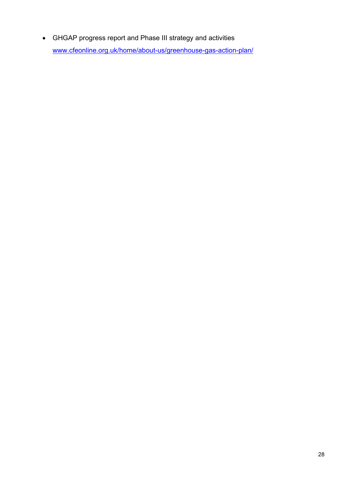• GHGAP progress report and Phase III strategy and activities [www.cfeonline.org.uk/home/about-us/greenhouse-gas-action-plan/](http://www.cfeonline.org.uk/home/about-us/greenhouse-gas-action-plan/)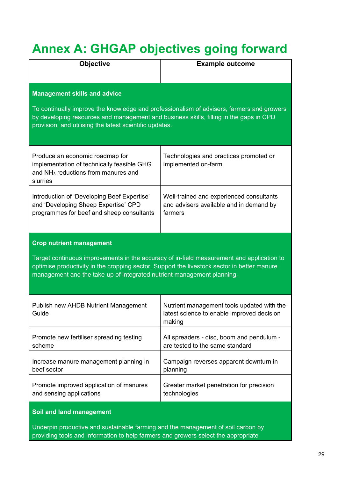# <span id="page-31-0"></span>**Annex A: GHGAP objectives going forward**

| <b>Objective</b>                                                                                                                                                                                                                                                                                      | <b>Example outcome</b>                                                                             |  |  |  |  |
|-------------------------------------------------------------------------------------------------------------------------------------------------------------------------------------------------------------------------------------------------------------------------------------------------------|----------------------------------------------------------------------------------------------------|--|--|--|--|
| <b>Management skills and advice</b><br>To continually improve the knowledge and professionalism of advisers, farmers and growers<br>by developing resources and management and business skills, filling in the gaps in CPD<br>provision, and utilising the latest scientific updates.                 |                                                                                                    |  |  |  |  |
| Produce an economic roadmap for<br>implementation of technically feasible GHG<br>and NH <sub>3</sub> reductions from manures and<br>slurries                                                                                                                                                          | Technologies and practices promoted or<br>implemented on-farm                                      |  |  |  |  |
| Introduction of 'Developing Beef Expertise'<br>and 'Developing Sheep Expertise' CPD<br>programmes for beef and sheep consultants                                                                                                                                                                      | Well-trained and experienced consultants<br>and advisers available and in demand by<br>farmers     |  |  |  |  |
| <b>Crop nutrient management</b><br>Target continuous improvements in the accuracy of in-field measurement and application to<br>optimise productivity in the cropping sector. Support the livestock sector in better manure<br>management and the take-up of integrated nutrient management planning. |                                                                                                    |  |  |  |  |
| Publish new AHDB Nutrient Management<br>Guide                                                                                                                                                                                                                                                         | Nutrient management tools updated with the<br>latest science to enable improved decision<br>making |  |  |  |  |
| Promote new fertiliser spreading testing<br>scheme                                                                                                                                                                                                                                                    | All spreaders - disc, boom and pendulum -<br>are tested to the same standard                       |  |  |  |  |
| Increase manure management planning in<br>beef sector                                                                                                                                                                                                                                                 | Campaign reverses apparent downturn in<br>planning                                                 |  |  |  |  |
| Promote improved application of manures<br>and sensing applications                                                                                                                                                                                                                                   | Greater market penetration for precision<br>technologies                                           |  |  |  |  |

#### **Soil and land management**

Underpin productive and sustainable farming and the management of soil carbon by providing tools and information to help farmers and growers select the appropriate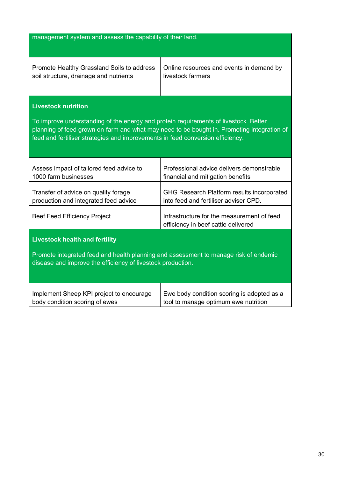| management system and assess the capability of their land.                                                                                                                                                                                                           |                                                                                     |  |  |  |  |  |
|----------------------------------------------------------------------------------------------------------------------------------------------------------------------------------------------------------------------------------------------------------------------|-------------------------------------------------------------------------------------|--|--|--|--|--|
|                                                                                                                                                                                                                                                                      |                                                                                     |  |  |  |  |  |
|                                                                                                                                                                                                                                                                      |                                                                                     |  |  |  |  |  |
| Promote Healthy Grassland Soils to address<br>soil structure, drainage and nutrients                                                                                                                                                                                 | Online resources and events in demand by<br>livestock farmers                       |  |  |  |  |  |
| <b>Livestock nutrition</b>                                                                                                                                                                                                                                           |                                                                                     |  |  |  |  |  |
| To improve understanding of the energy and protein requirements of livestock. Better<br>planning of feed grown on-farm and what may need to be bought in. Promoting integration of<br>feed and fertiliser strategies and improvements in feed conversion efficiency. |                                                                                     |  |  |  |  |  |
| Assess impact of tailored feed advice to<br>1000 farm businesses                                                                                                                                                                                                     | Professional advice delivers demonstrable<br>financial and mitigation benefits      |  |  |  |  |  |
| Transfer of advice on quality forage<br>production and integrated feed advice                                                                                                                                                                                        | GHG Research Platform results incorporated<br>into feed and fertiliser adviser CPD. |  |  |  |  |  |
| <b>Beef Feed Efficiency Project</b>                                                                                                                                                                                                                                  | Infrastructure for the measurement of feed<br>efficiency in beef cattle delivered   |  |  |  |  |  |
| <b>Livestock health and fertility</b>                                                                                                                                                                                                                                |                                                                                     |  |  |  |  |  |
| Promote integrated feed and health planning and assessment to manage risk of endemic<br>disease and improve the efficiency of livestock production.                                                                                                                  |                                                                                     |  |  |  |  |  |
| Implement Sheep KPI project to encourage<br>body condition scoring of ewes                                                                                                                                                                                           | Ewe body condition scoring is adopted as a<br>tool to manage optimum ewe nutrition  |  |  |  |  |  |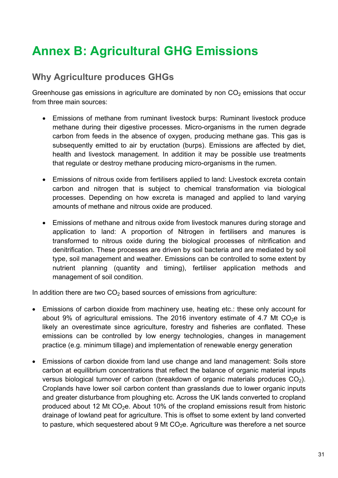# <span id="page-33-0"></span>**Annex B: Agricultural GHG Emissions**

# **Why Agriculture produces GHGs**

Greenhouse gas emissions in agriculture are dominated by non  $CO<sub>2</sub>$  emissions that occur from three main sources:

- Emissions of methane from ruminant livestock burps: Ruminant livestock produce methane during their digestive processes. Micro-organisms in the rumen degrade carbon from feeds in the absence of oxygen, producing methane gas. This gas is subsequently emitted to air by eructation (burps). Emissions are affected by diet, health and livestock management. In addition it may be possible use treatments that regulate or destroy methane producing micro-organisms in the rumen.
- Emissions of nitrous oxide from fertilisers applied to land: Livestock excreta contain carbon and nitrogen that is subject to chemical transformation via biological processes. Depending on how excreta is managed and applied to land varying amounts of methane and nitrous oxide are produced.
- Emissions of methane and nitrous oxide from livestock manures during storage and application to land: A proportion of Nitrogen in fertilisers and manures is transformed to nitrous oxide during the biological processes of nitrification and denitrification. These processes are driven by soil bacteria and are mediated by soil type, soil management and weather. Emissions can be controlled to some extent by nutrient planning (quantity and timing), fertiliser application methods and management of soil condition.

In addition there are two  $CO<sub>2</sub>$  based sources of emissions from agriculture:

- Emissions of carbon dioxide from machinery use, heating etc.: these only account for about 9% of agricultural emissions. The 2016 inventory estimate of 4.7 Mt  $CO<sub>2</sub>e$  is likely an overestimate since agriculture, forestry and fisheries are conflated. These emissions can be controlled by low energy technologies, changes in management practice (e.g. minimum tillage) and implementation of renewable energy generation
- Emissions of carbon dioxide from land use change and land management: Soils store carbon at equilibrium concentrations that reflect the balance of organic material inputs versus biological turnover of carbon (breakdown of organic materials produces  $CO<sub>2</sub>$ ). Croplands have lower soil carbon content than grasslands due to lower organic inputs and greater disturbance from ploughing etc. Across the UK lands converted to cropland produced about 12 Mt  $CO<sub>2</sub>e$ . About 10% of the cropland emissions result from historic drainage of lowland peat for agriculture. This is offset to some extent by land converted to pasture, which sequestered about 9 Mt  $CO<sub>2</sub>e$ . Agriculture was therefore a net source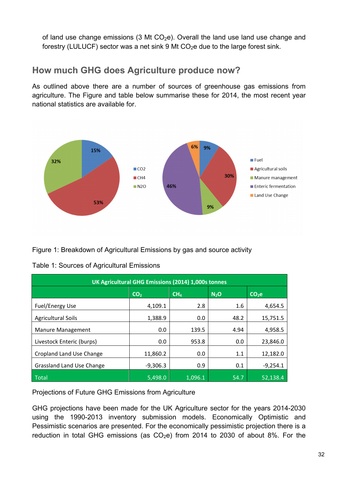of land use change emissions (3 Mt  $CO<sub>2</sub>e$ ). Overall the land use land use change and forestry (LULUCF) sector was a net sink 9 Mt  $CO<sub>2</sub>e$  due to the large forest sink.

### **How much GHG does Agriculture produce now?**

As outlined above there are a number of sources of greenhouse gas emissions from agriculture. The Figure and table below summarise these for 2014, the most recent year national statistics are available for.



Figure 1: Breakdown of Agricultural Emissions by gas and source activity

| Table 1: Sources of Agricultural Emissions |
|--------------------------------------------|
|--------------------------------------------|

| UK Agricultural GHG Emissions (2014) 1,000s tonnes |                 |                 |                  |            |  |  |
|----------------------------------------------------|-----------------|-----------------|------------------|------------|--|--|
|                                                    | CO <sub>2</sub> | CH <sub>4</sub> | N <sub>2</sub> O | $CO2$ e    |  |  |
| <b>Fuel/Energy Use</b>                             | 4,109.1         | 2.8             | 1.6              | 4,654.5    |  |  |
| <b>Agricultural Soils</b>                          | 1,388.9         | 0.0             | 48.2             | 15,751.5   |  |  |
| Manure Management                                  | 0.0             | 139.5           | 4.94             | 4,958.5    |  |  |
| Livestock Enteric (burps)                          | 0.0             | 953.8           | 0.0              | 23,846.0   |  |  |
| Cropland Land Use Change                           | 11,860.2        | 0.0             | 1.1              | 12,182.0   |  |  |
| Grassland Land Use Change                          | $-9,306.3$      | 0.9             | 0.1              | $-9,254.1$ |  |  |
| Total                                              | 5.498.0         | 1,096.1         | 54.7             | 52.138.4   |  |  |

Projections of Future GHG Emissions from Agriculture

GHG projections have been made for the UK Agriculture sector for the years 2014-2030 using the 1990-2013 inventory submission models. Economically Optimistic and Pessimistic scenarios are presented. For the economically pessimistic projection there is a reduction in total GHG emissions (as  $CO<sub>2</sub>e$ ) from 2014 to 2030 of about 8%. For the